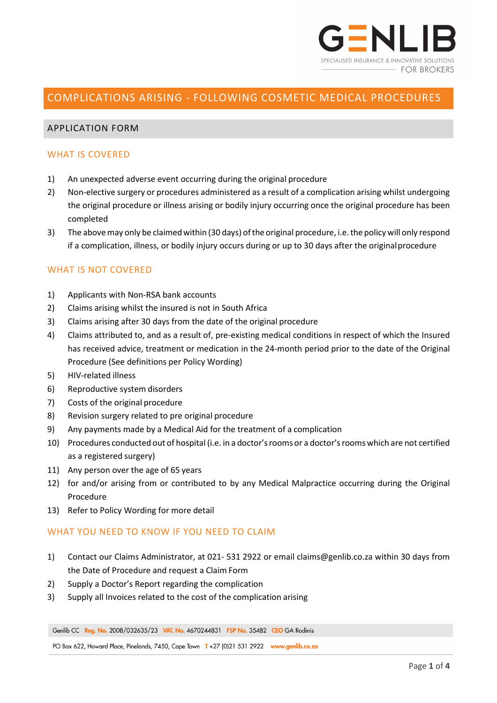

# COMPLICATIONS ARISING - FOLLOWING COSMETIC MEDICAL PROCEDURES

# APPLICATION FORM

### WHAT IS COVERED

- 1) An unexpected adverse event occurring during the original procedure
- 2) Non-elective surgery or procedures administered as a result of a complication arising whilst undergoing the original procedure or illness arising or bodily injury occurring once the original procedure has been completed
- 3) The above may only be claimed within (30 days) of the original procedure, i.e. the policy will only respond if a complication, illness, or bodily injury occurs during or up to 30 days after the originalprocedure

# WHAT IS NOT COVERED

- 1) Applicants with Non-RSA bank accounts
- 2) Claims arising whilst the insured is not in South Africa
- 3) Claims arising after 30 days from the date of the original procedure
- 4) Claims attributed to, and as a result of, pre-existing medical conditions in respect of which the Insured has received advice, treatment or medication in the 24-month period prior to the date of the Original Procedure (See definitions per Policy Wording)
- 5) HIV-related illness
- 6) Reproductive system disorders
- 7) Costs of the original procedure
- 8) Revision surgery related to pre original procedure
- 9) Any payments made by a Medical Aid for the treatment of a complication
- 10) Procedures conducted out of hospital (i.e. in a doctor'srooms or a doctor'sroomswhich are not certified as a registered surgery)
- 11) Any person over the age of 65 years
- 12) for and/or arising from or contributed to by any Medical Malpractice occurring during the Original Procedure
- 13) Refer to Policy Wording for more detail

### WHAT YOU NEED TO KNOW IF YOU NEED TO CLAIM

- 1) Contact our Claims Administrator, at 021- 531 2922 or email claims@genlib.co.za within 30 days from the Date of Procedure and request a Claim Form
- 2) Supply a Doctor's Report regarding the complication
- 3) Supply all Invoices related to the cost of the complication arising

Genlib CC Reg. No. 2008/032635/23 VAT. No. 4670244831 FSP No. 35482 CEO GA Rodinis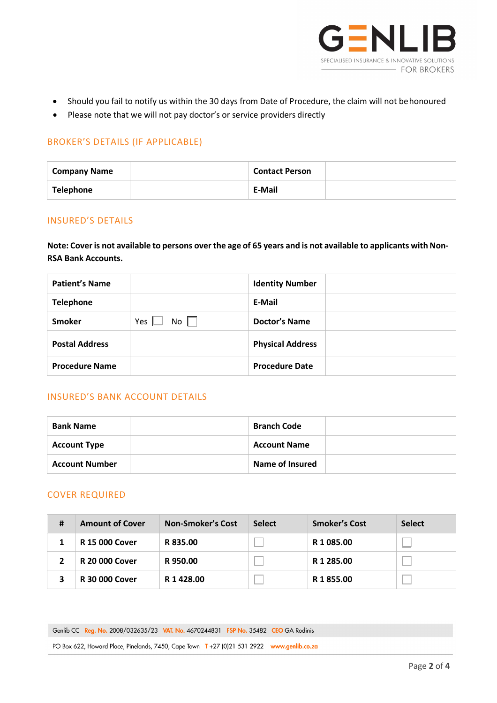

- Should you fail to notify us within the 30 days from Date of Procedure, the claim will not behonoured
- Please note that we will not pay doctor's or service providers directly

# BROKER'S DETAILS (IF APPLICABLE)

| <b>Company Name</b> | <b>Contact Person</b> |  |
|---------------------|-----------------------|--|
| <b>Telephone</b>    | E-Mail                |  |

### INSURED'S DETAILS

Note: Cover is not available to persons over the age of 65 years and is not available to applicants with Non-**RSA Bank Accounts.**

| <b>Patient's Name</b> |                       | <b>Identity Number</b>  |  |
|-----------------------|-----------------------|-------------------------|--|
| <b>Telephone</b>      |                       | E-Mail                  |  |
| <b>Smoker</b>         | Yes $\parallel$<br>No | <b>Doctor's Name</b>    |  |
| <b>Postal Address</b> |                       | <b>Physical Address</b> |  |
| <b>Procedure Name</b> |                       | <b>Procedure Date</b>   |  |

# INSURED'S BANK ACCOUNT DETAILS

| <b>Bank Name</b>      | <b>Branch Code</b>  |  |
|-----------------------|---------------------|--|
| <b>Account Type</b>   | <b>Account Name</b> |  |
| <b>Account Number</b> | Name of Insured     |  |

### COVER REQUIRED

| # | <b>Amount of Cover</b> | <b>Non-Smoker's Cost</b> | <b>Select</b> | <b>Smoker's Cost</b>  | <b>Select</b> |
|---|------------------------|--------------------------|---------------|-----------------------|---------------|
|   | <b>R 15 000 Cover</b>  | R 835.00                 |               | R 1 085.00            |               |
|   | <b>R 20 000 Cover</b>  | R 950.00                 |               | R <sub>1</sub> 285.00 |               |
|   | <b>R 30 000 Cover</b>  | R 1 4 2 8 .00            |               | R 1855.00             |               |

Genlib CC Reg. No. 2008/032635/23 VAT. No. 4670244831 FSP No. 35482 CEO GA Rodinis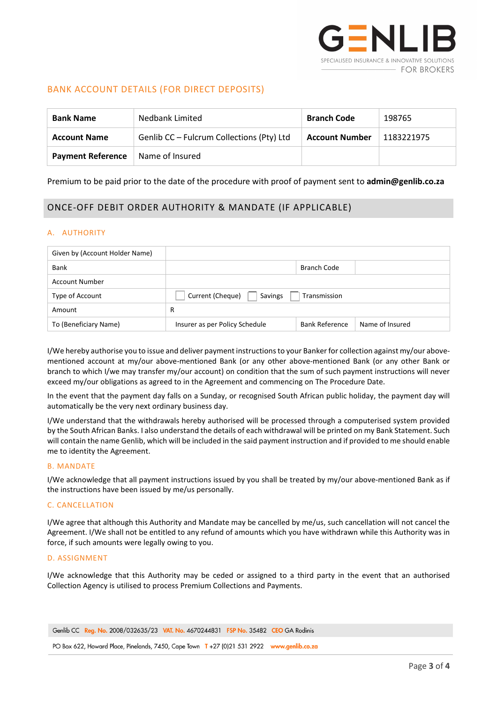

### BANK ACCOUNT DETAILS (FOR DIRECT DEPOSITS)

| Nedbank Limited<br><b>Bank Name</b> |                                           | <b>Branch Code</b>    | 198765     |
|-------------------------------------|-------------------------------------------|-----------------------|------------|
| <b>Account Name</b>                 | Genlib CC - Fulcrum Collections (Pty) Ltd | <b>Account Number</b> | 1183221975 |
| <b>Payment Reference</b>            | Name of Insured                           |                       |            |

#### Premium to be paid prior to the date of the procedure with proof of payment sent to **admin@genlib.co.za**

# ONCE-OFF DEBIT ORDER AUTHORITY & MANDATE (IF APPLICABLE)

#### A. AUTHORITY

| Given by (Account Holder Name) |                                             |                       |                 |  |
|--------------------------------|---------------------------------------------|-----------------------|-----------------|--|
| Bank                           |                                             | Branch Code           |                 |  |
| Account Number                 |                                             |                       |                 |  |
| Type of Account                | Savings<br>Transmission<br>Current (Cheque) |                       |                 |  |
| Amount                         | R                                           |                       |                 |  |
| To (Beneficiary Name)          | Insurer as per Policy Schedule              | <b>Bank Reference</b> | Name of Insured |  |

I/We hereby authorise you to issue and deliver payment instructions to your Banker for collection against my/our abovementioned account at my/our above-mentioned Bank (or any other above-mentioned Bank (or any other Bank or branch to which I/we may transfer my/our account) on condition that the sum of such payment instructions will never exceed my/our obligations as agreed to in the Agreement and commencing on The Procedure Date.

In the event that the payment day falls on a Sunday, or recognised South African public holiday, the payment day will automatically be the very next ordinary business day.

I/We understand that the withdrawals hereby authorised will be processed through a computerised system provided by the South African Banks. I also understand the details of each withdrawal will be printed on my Bank Statement. Such will contain the name Genlib, which will be included in the said payment instruction and if provided to me should enable me to identity the Agreement.

#### B. MANDATE

I/We acknowledge that all payment instructions issued by you shall be treated by my/our above-mentioned Bank as if the instructions have been issued by me/us personally.

#### C. CANCELLATION

I/We agree that although this Authority and Mandate may be cancelled by me/us, such cancellation will not cancel the Agreement. I/We shall not be entitled to any refund of amounts which you have withdrawn while this Authority was in force, if such amounts were legally owing to you.

#### D. ASSIGNMENT

I/We acknowledge that this Authority may be ceded or assigned to a third party in the event that an authorised Collection Agency is utilised to process Premium Collections and Payments.

Genlib CC Reg. No. 2008/032635/23 VAT. No. 4670244831 FSP No. 35482 CEO GA Rodinis